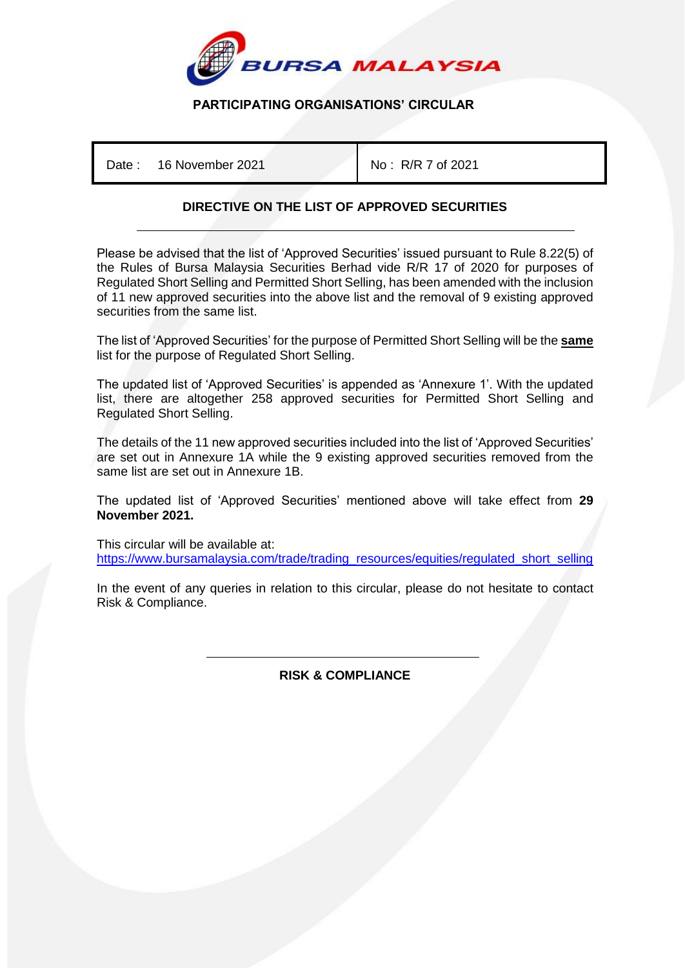

## **PARTICIPATING ORGANISATIONS' CIRCULAR**

Date : 16 November 2021 No : R/R 7 of 2021

## **DIRECTIVE ON THE LIST OF APPROVED SECURITIES**

Please be advised that the list of 'Approved Securities' issued pursuant to Rule 8.22(5) of the Rules of Bursa Malaysia Securities Berhad vide R/R 17 of 2020 for purposes of Regulated Short Selling and Permitted Short Selling, has been amended with the inclusion of 11 new approved securities into the above list and the removal of 9 existing approved securities from the same list.

The list of 'Approved Securities' for the purpose of Permitted Short Selling will be the **same** list for the purpose of Regulated Short Selling.

The updated list of 'Approved Securities' is appended as 'Annexure 1'. With the updated list, there are altogether 258 approved securities for Permitted Short Selling and Regulated Short Selling.

The details of the 11 new approved securities included into the list of 'Approved Securities' are set out in Annexure 1A while the 9 existing approved securities removed from the same list are set out in Annexure 1B.

The updated list of 'Approved Securities' mentioned above will take effect from **29 November 2021.**

This circular will be available at: [https://www.bursamalaysia.com/trade/trading\\_resources/equities/regulated\\_short\\_selling](https://www.bursamalaysia.com/trade/trading_resources/equities/regulated_short_selling)

In the event of any queries in relation to this circular, please do not hesitate to contact Risk & Compliance.

> İ **RISK & COMPLIANCE**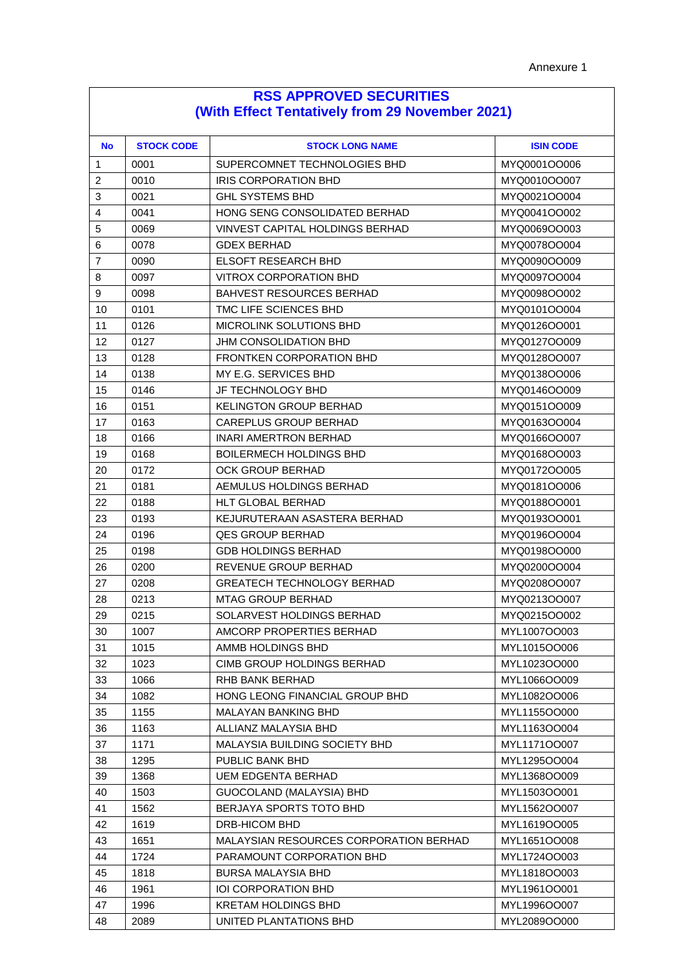| <b>RSS APPROVED SECURITIES</b>                  |  |  |
|-------------------------------------------------|--|--|
| (With Effect Tentatively from 29 November 2021) |  |  |

| <b>No</b>      | <b>STOCK CODE</b> | <b>STOCK LONG NAME</b>                 | <b>ISIN CODE</b> |
|----------------|-------------------|----------------------------------------|------------------|
| 1              | 0001              | SUPERCOMNET TECHNOLOGIES BHD           | MYQ0001OO006     |
| 2              | 0010              | <b>IRIS CORPORATION BHD</b>            | MYQ0010OO007     |
| 3              | 0021              | <b>GHL SYSTEMS BHD</b>                 | MYQ0021OO004     |
| $\overline{4}$ | 0041              | HONG SENG CONSOLIDATED BERHAD          | MYQ0041OO002     |
| 5              | 0069              | VINVEST CAPITAL HOLDINGS BERHAD        | MYQ0069OO003     |
| 6              | 0078              | <b>GDEX BERHAD</b>                     | MYQ0078OO004     |
| 7              | 0090              | <b>ELSOFT RESEARCH BHD</b>             | MYQ0090OO009     |
| 8              | 0097              | VITROX CORPORATION BHD                 | MYQ0097OO004     |
| 9              | 0098              | <b>BAHVEST RESOURCES BERHAD</b>        | MYQ0098OO002     |
| 10             | 0101              | TMC LIFE SCIENCES BHD                  | MYQ0101OO004     |
| 11             | 0126              | MICROLINK SOLUTIONS BHD                | MYQ0126OO001     |
| 12             | 0127              | JHM CONSOLIDATION BHD                  | MYQ0127OO009     |
| 13             | 0128              | <b>FRONTKEN CORPORATION BHD</b>        | MYQ0128OO007     |
| 14             | 0138              | MY E.G. SERVICES BHD                   | MYQ0138OO006     |
| 15             | 0146              | JF TECHNOLOGY BHD                      | MYQ0146OO009     |
| 16             | 0151              | <b>KELINGTON GROUP BERHAD</b>          | MYQ0151OO009     |
| 17             | 0163              | CAREPLUS GROUP BERHAD                  | MYQ0163OO004     |
| 18             | 0166              | <b>INARI AMERTRON BERHAD</b>           | MYQ0166OO007     |
| 19             | 0168              | <b>BOILERMECH HOLDINGS BHD</b>         | MYQ0168OO003     |
| 20             | 0172              | OCK GROUP BERHAD                       | MYQ0172OO005     |
| 21             | 0181              | AEMULUS HOLDINGS BERHAD                | MYQ0181OO006     |
| 22             | 0188              | HLT GLOBAL BERHAD                      | MYQ0188OO001     |
| 23             | 0193              | KEJURUTERAAN ASASTERA BERHAD           | MYQ0193OO001     |
| 24             | 0196              | <b>QES GROUP BERHAD</b>                | MYQ0196OO004     |
| 25             | 0198              | <b>GDB HOLDINGS BERHAD</b>             | MYQ0198OO000     |
| 26             | 0200              | REVENUE GROUP BERHAD                   | MYQ0200OO004     |
| 27             | 0208              | <b>GREATECH TECHNOLOGY BERHAD</b>      | MYQ0208OO007     |
| 28             | 0213              | <b>MTAG GROUP BERHAD</b>               | MYQ0213OO007     |
| 29             | 0215              | SOLARVEST HOLDINGS BERHAD              | MYQ0215OO002     |
| 30             | 1007              | AMCORP PROPERTIES BERHAD               | MYL1007OO003     |
| 31             | 1015              | AMMB HOLDINGS BHD                      | MYL1015OO006     |
| 32             | 1023              | CIMB GROUP HOLDINGS BERHAD             | MYL1023OO000     |
| 33             | 1066              | RHB BANK BERHAD                        | MYL1066OO009     |
| 34             | 1082              | HONG LEONG FINANCIAL GROUP BHD         | MYL1082OO006     |
| 35             | 1155              | MALAYAN BANKING BHD                    | MYL1155OO000     |
| 36             | 1163              | ALLIANZ MALAYSIA BHD                   | MYL1163OO004     |
| 37             | 1171              | MALAYSIA BUILDING SOCIETY BHD          | MYL1171OO007     |
| 38             | 1295              | PUBLIC BANK BHD                        | MYL1295OO004     |
| 39             | 1368              | <b>UEM EDGENTA BERHAD</b>              | MYL1368OO009     |
| 40             | 1503              | GUOCOLAND (MALAYSIA) BHD               | MYL1503OO001     |
| 41             | 1562              | BERJAYA SPORTS TOTO BHD                | MYL1562OO007     |
| 42             | 1619              | DRB-HICOM BHD                          | MYL1619OO005     |
| 43             | 1651              | MALAYSIAN RESOURCES CORPORATION BERHAD | MYL1651OO008     |
| 44             | 1724              | PARAMOUNT CORPORATION BHD              | MYL1724OO003     |
| 45             | 1818              | <b>BURSA MALAYSIA BHD</b>              | MYL1818OO003     |
| 46             | 1961              | IOI CORPORATION BHD                    | MYL1961OO001     |
| 47             | 1996              | <b>KRETAM HOLDINGS BHD</b>             | MYL1996OO007     |
| 48             | 2089              | UNITED PLANTATIONS BHD                 | MYL2089OO000     |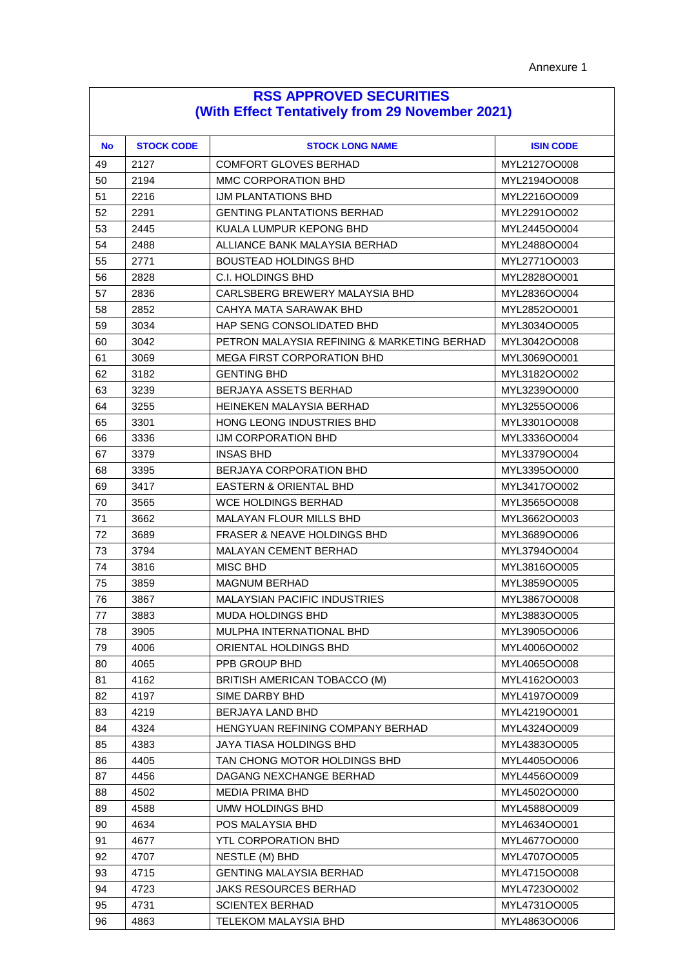| <b>RSS APPROVED SECURITIES</b>                  |  |  |  |
|-------------------------------------------------|--|--|--|
| (With Effect Tentatively from 29 November 2021) |  |  |  |

| <b>No</b> | <b>STOCK CODE</b> | <b>STOCK LONG NAME</b>                      | <b>ISIN CODE</b> |
|-----------|-------------------|---------------------------------------------|------------------|
| 49        | 2127              | COMFORT GLOVES BERHAD                       | MYL2127OO008     |
| 50        | 2194              | MMC CORPORATION BHD                         | MYL2194OO008     |
| 51        | 2216              | IJM PLANTATIONS BHD                         | MYL2216OO009     |
| 52        | 2291              | <b>GENTING PLANTATIONS BERHAD</b>           | MYL2291OO002     |
| 53        | 2445              | KUALA LUMPUR KEPONG BHD                     | MYL2445OO004     |
| 54        | 2488              | ALLIANCE BANK MALAYSIA BERHAD               | MYL2488OO004     |
| 55        | 2771              | BOUSTEAD HOLDINGS BHD                       | MYL2771OO003     |
| 56        | 2828              | C.I. HOLDINGS BHD                           | MYL2828OO001     |
| 57        | 2836              | CARLSBERG BREWERY MALAYSIA BHD              | MYL2836OO004     |
| 58        | 2852              | CAHYA MATA SARAWAK BHD                      | MYL2852OO001     |
| 59        | 3034              | HAP SENG CONSOLIDATED BHD                   | MYL3034OO005     |
| 60        | 3042              | PETRON MALAYSIA REFINING & MARKETING BERHAD | MYL3042OO008     |
| 61        | 3069              | MEGA FIRST CORPORATION BHD                  | MYL3069OO001     |
| 62        | 3182              | <b>GENTING BHD</b>                          | MYL3182OO002     |
| 63        | 3239              | BERJAYA ASSETS BERHAD                       | MYL3239OO000     |
| 64        | 3255              | HEINEKEN MALAYSIA BERHAD                    | MYL3255OO006     |
| 65        | 3301              | HONG LEONG INDUSTRIES BHD                   | MYL3301OO008     |
| 66        | 3336              | IJM CORPORATION BHD                         | MYL3336OO004     |
| 67        | 3379              | <b>INSAS BHD</b>                            | MYL3379OO004     |
| 68        | 3395              | BERJAYA CORPORATION BHD                     | MYL3395OO000     |
| 69        | 3417              | EASTERN & ORIENTAL BHD                      | MYL3417OO002     |
| 70        | 3565              | WCE HOLDINGS BERHAD                         | MYL3565OO008     |
| 71        | 3662              | MALAYAN FLOUR MILLS BHD                     | MYL3662OO003     |
| 72        | 3689              | <b>FRASER &amp; NEAVE HOLDINGS BHD</b>      | MYL3689OO006     |
| 73        | 3794              | MALAYAN CEMENT BERHAD                       | MYL3794OO004     |
| 74        | 3816              | MISC BHD                                    | MYL3816OO005     |
| 75        | 3859              | MAGNUM BERHAD                               | MYL3859OO005     |
| 76        | 3867              | MALAYSIAN PACIFIC INDUSTRIES                | MYL3867OO008     |
| 77        | 3883              | MUDA HOLDINGS BHD                           | MYL3883OO005     |
| 78        | 3905              | MULPHA INTERNATIONAL BHD                    | MYL3905OO006     |
| 79        | 4006              | ORIENTAL HOLDINGS BHD                       | MYL4006OO002     |
| 80        | 4065              | PPB GROUP BHD                               | MYL4065OO008     |
| 81        | 4162              | BRITISH AMERICAN TOBACCO (M)                | MYL4162OO003     |
| 82        | 4197              | SIME DARBY BHD                              | MYL4197OO009     |
| 83        | 4219              | BERJAYA LAND BHD                            | MYL4219OO001     |
| 84        | 4324              | HENGYUAN REFINING COMPANY BERHAD            | MYL4324OO009     |
| 85        | 4383              | JAYA TIASA HOLDINGS BHD                     | MYL4383OO005     |
| 86        | 4405              | TAN CHONG MOTOR HOLDINGS BHD                | MYL4405OO006     |
| 87        | 4456              | DAGANG NEXCHANGE BERHAD                     | MYL4456OO009     |
| 88        | 4502              | <b>MEDIA PRIMA BHD</b>                      | MYL4502OO000     |
| 89        | 4588              | UMW HOLDINGS BHD                            | MYL4588OO009     |
| 90        | 4634              | POS MALAYSIA BHD                            | MYL4634OO001     |
| 91        | 4677              | YTL CORPORATION BHD                         | MYL4677OO000     |
| 92        | 4707              | NESTLE (M) BHD                              | MYL4707OO005     |
| 93        | 4715              | <b>GENTING MALAYSIA BERHAD</b>              | MYL4715OO008     |
| 94        | 4723              | <b>JAKS RESOURCES BERHAD</b>                | MYL4723OO002     |
| 95        | 4731              | <b>SCIENTEX BERHAD</b>                      | MYL4731OO005     |
| 96        | 4863              | TELEKOM MALAYSIA BHD                        | MYL4863OO006     |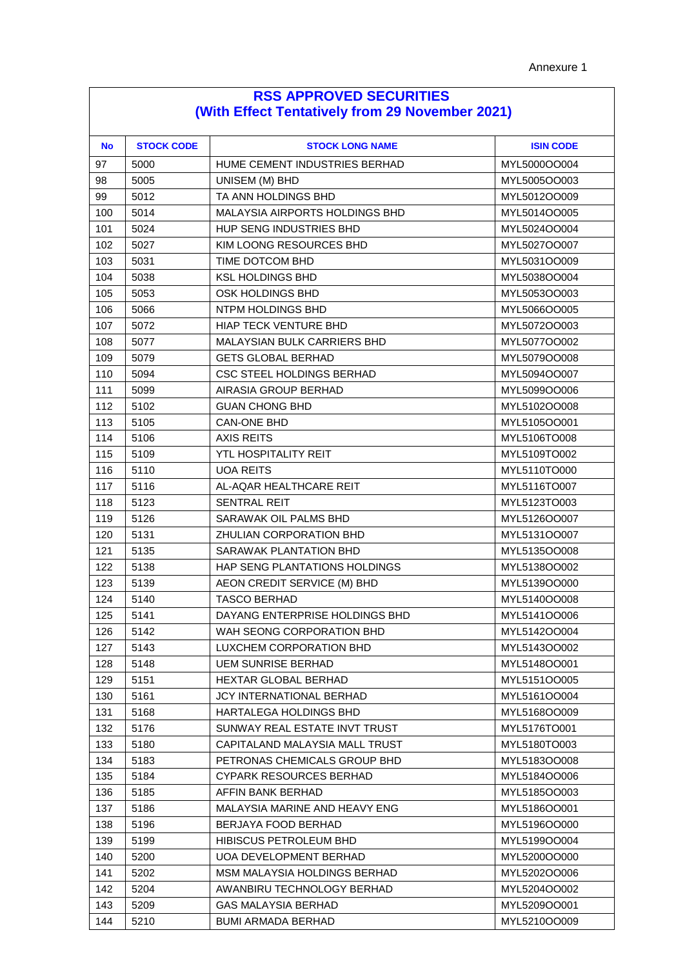| <b>RSS APPROVED SECURITIES</b>                  |  |  |
|-------------------------------------------------|--|--|
| (With Effect Tentatively from 29 November 2021) |  |  |

| <b>No</b> | <b>STOCK CODE</b> | <b>STOCK LONG NAME</b>         | <b>ISIN CODE</b> |
|-----------|-------------------|--------------------------------|------------------|
| 97        | 5000              | HUME CEMENT INDUSTRIES BERHAD  | MYL5000OO004     |
| 98        | 5005              | UNISEM (M) BHD                 | MYL5005OO003     |
| 99        | 5012              | TA ANN HOLDINGS BHD            | MYL5012OO009     |
| 100       | 5014              | MALAYSIA AIRPORTS HOLDINGS BHD | MYL5014OO005     |
| 101       | 5024              | HUP SENG INDUSTRIES BHD        | MYL5024OO004     |
| 102       | 5027              | KIM LOONG RESOURCES BHD        | MYL5027OO007     |
| 103       | 5031              | TIME DOTCOM BHD                | MYL5031OO009     |
| 104       | 5038              | <b>KSL HOLDINGS BHD</b>        | MYL5038OO004     |
| 105       | 5053              | OSK HOLDINGS BHD               | MYL5053OO003     |
| 106       | 5066              | NTPM HOLDINGS BHD              | MYL5066OO005     |
| 107       | 5072              | <b>HIAP TECK VENTURE BHD</b>   | MYL5072OO003     |
| 108       | 5077              | MALAYSIAN BULK CARRIERS BHD    | MYL5077OO002     |
| 109       | 5079              | <b>GETS GLOBAL BERHAD</b>      | MYL5079OO008     |
| 110       | 5094              | CSC STEEL HOLDINGS BERHAD      | MYL5094OO007     |
| 111       | 5099              | AIRASIA GROUP BERHAD           | MYL5099OO006     |
| 112       | 5102              | <b>GUAN CHONG BHD</b>          | MYL5102OO008     |
| 113       | 5105              | <b>CAN-ONE BHD</b>             | MYL5105OO001     |
| 114       | 5106              | <b>AXIS REITS</b>              | MYL5106TO008     |
| 115       | 5109              | YTL HOSPITALITY REIT           | MYL5109TO002     |
| 116       | 5110              | <b>UOA REITS</b>               | MYL5110TO000     |
| 117       | 5116              | AL-AQAR HEALTHCARE REIT        | MYL5116TO007     |
| 118       | 5123              | <b>SENTRAL REIT</b>            | MYL5123TO003     |
| 119       | 5126              | SARAWAK OIL PALMS BHD          | MYL5126OO007     |
| 120       | 5131              | ZHULIAN CORPORATION BHD        | MYL5131OO007     |
| 121       | 5135              | SARAWAK PLANTATION BHD         | MYL5135OO008     |
| 122       | 5138              | HAP SENG PLANTATIONS HOLDINGS  | MYL5138OO002     |
| 123       | 5139              | AEON CREDIT SERVICE (M) BHD    | MYL5139OO000     |
| 124       | 5140              | <b>TASCO BERHAD</b>            | MYL5140OO008     |
| 125       | 5141              | DAYANG ENTERPRISE HOLDINGS BHD | MYL5141OO006     |
| 126       | 5142              | WAH SEONG CORPORATION BHD      | MYL5142OO004     |
| 127       | 5143              | LUXCHEM CORPORATION BHD        | MYL5143OO002     |
| 128       | 5148              | <b>UEM SUNRISE BERHAD</b>      | MYL5148OO001     |
| 129       | 5151              | HEXTAR GLOBAL BERHAD           | MYL5151OO005     |
| 130       | 5161              | JCY INTERNATIONAL BERHAD       | MYL5161OO004     |
| 131       | 5168              | HARTALEGA HOLDINGS BHD         | MYL5168OO009     |
| 132       | 5176              | SUNWAY REAL ESTATE INVT TRUST  | MYL5176TO001     |
| 133       | 5180              | CAPITALAND MALAYSIA MALL TRUST | MYL5180TO003     |
| 134       | 5183              | PETRONAS CHEMICALS GROUP BHD   | MYL5183OO008     |
| 135       | 5184              | <b>CYPARK RESOURCES BERHAD</b> | MYL5184OO006     |
| 136       | 5185              | AFFIN BANK BERHAD              | MYL5185OO003     |
| 137       | 5186              | MALAYSIA MARINE AND HEAVY ENG  | MYL5186OO001     |
| 138       | 5196              | BERJAYA FOOD BERHAD            | MYL5196OO000     |
| 139       | 5199              | HIBISCUS PETROLEUM BHD         | MYL5199OO004     |
| 140       | 5200              | UOA DEVELOPMENT BERHAD         | MYL5200OO000     |
| 141       | 5202              | MSM MALAYSIA HOLDINGS BERHAD   | MYL5202OO006     |
| 142       | 5204              | AWANBIRU TECHNOLOGY BERHAD     | MYL5204OO002     |
| 143       | 5209              | <b>GAS MALAYSIA BERHAD</b>     | MYL5209OO001     |
| 144       | 5210              | <b>BUMI ARMADA BERHAD</b>      | MYL5210OO009     |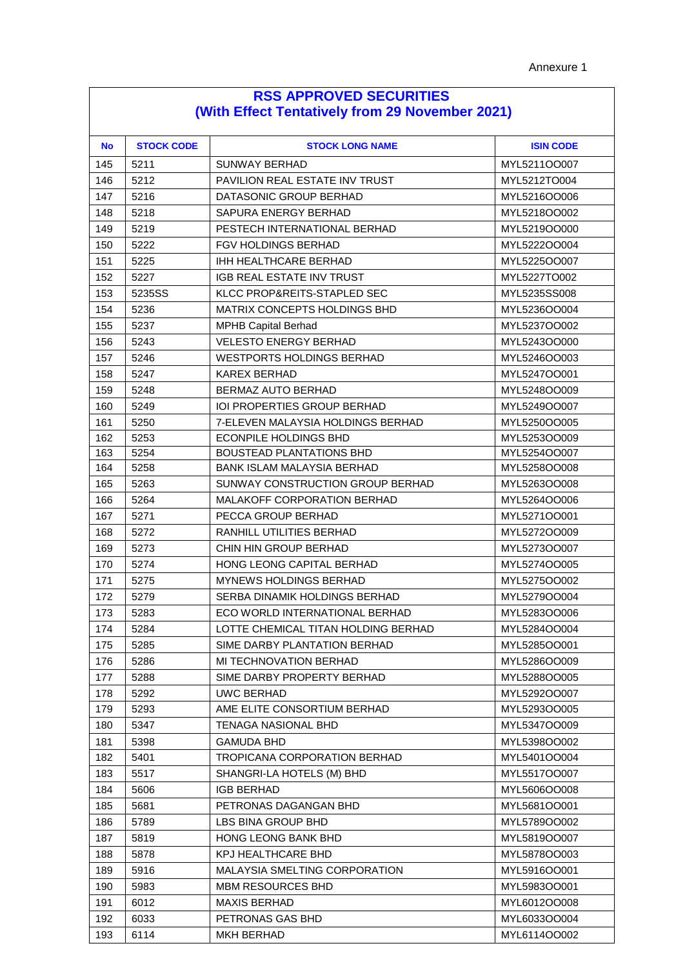| <b>RSS APPROVED SECURITIES</b>                  |  |  |  |
|-------------------------------------------------|--|--|--|
| (With Effect Tentatively from 29 November 2021) |  |  |  |

| <b>No</b> | <b>STOCK CODE</b> | <b>STOCK LONG NAME</b>                | <b>ISIN CODE</b> |
|-----------|-------------------|---------------------------------------|------------------|
| 145       | 5211              | SUNWAY BERHAD                         | MYL5211OO007     |
| 146       | 5212              | <b>PAVILION REAL ESTATE INV TRUST</b> | MYL5212TO004     |
| 147       | 5216              | DATASONIC GROUP BERHAD                | MYL5216OO006     |
| 148       | 5218              | SAPURA ENERGY BERHAD                  | MYL5218OO002     |
| 149       | 5219              | PESTECH INTERNATIONAL BERHAD          | MYL5219OO000     |
| 150       | 5222              | <b>FGV HOLDINGS BERHAD</b>            | MYL5222OO004     |
| 151       | 5225              | IHH HEALTHCARE BERHAD                 | MYL5225OO007     |
| 152       | 5227              | <b>IGB REAL ESTATE INV TRUST</b>      | MYL5227TO002     |
| 153       | 5235SS            | KLCC PROP&REITS-STAPLED SEC           | MYL5235SS008     |
| 154       | 5236              | <b>MATRIX CONCEPTS HOLDINGS BHD</b>   | MYL5236OO004     |
| 155       | 5237              | <b>MPHB Capital Berhad</b>            | MYL5237OO002     |
| 156       | 5243              | <b>VELESTO ENERGY BERHAD</b>          | MYL5243OO000     |
| 157       | 5246              | <b>WESTPORTS HOLDINGS BERHAD</b>      | MYL5246OO003     |
| 158       | 5247              | KAREX BERHAD                          | MYL5247OO001     |
| 159       | 5248              | BERMAZ AUTO BERHAD                    | MYL5248OO009     |
| 160       | 5249              | <b>IOI PROPERTIES GROUP BERHAD</b>    | MYL5249OO007     |
| 161       | 5250              | 7-ELEVEN MALAYSIA HOLDINGS BERHAD     | MYL5250OO005     |
| 162       | 5253              | <b>ECONPILE HOLDINGS BHD</b>          | MYL5253OO009     |
| 163       | 5254              | <b>BOUSTEAD PLANTATIONS BHD</b>       | MYL5254OO007     |
| 164       | 5258              | <b>BANK ISLAM MALAYSIA BERHAD</b>     | MYL5258OO008     |
| 165       | 5263              | SUNWAY CONSTRUCTION GROUP BERHAD      | MYL5263OO008     |
| 166       | 5264              | MALAKOFF CORPORATION BERHAD           | MYL5264OO006     |
| 167       | 5271              | PECCA GROUP BERHAD                    | MYL5271OO001     |
| 168       | 5272              | RANHILL UTILITIES BERHAD              | MYL5272OO009     |
| 169       | 5273              | CHIN HIN GROUP BERHAD                 | MYL5273OO007     |
| 170       | 5274              | <b>HONG LEONG CAPITAL BERHAD</b>      | MYL5274OO005     |
| 171       | 5275              | <b>MYNEWS HOLDINGS BERHAD</b>         | MYL5275OO002     |
| 172       | 5279              | SERBA DINAMIK HOLDINGS BERHAD         | MYL5279OO004     |
| 173       | 5283              | ECO WORLD INTERNATIONAL BERHAD        | MYL5283OO006     |
| 174       | 5284              | LOTTE CHEMICAL TITAN HOLDING BERHAD   | MYL5284OO004     |
| 175       | 5285              | SIME DARBY PLANTATION BERHAD          | MYL5285OO001     |
| 176       | 5286              | MI TECHNOVATION BERHAD                | MYL5286OO009     |
| 177       | 5288              | SIME DARBY PROPERTY BERHAD            | MYL5288OO005     |
| 178       | 5292              | <b>UWC BERHAD</b>                     | MYL5292OO007     |
| 179       | 5293              | AME ELITE CONSORTIUM BERHAD           | MYL5293OO005     |
| 180       | 5347              | <b>TENAGA NASIONAL BHD</b>            | MYL5347OO009     |
| 181       | 5398              | <b>GAMUDA BHD</b>                     | MYL5398OO002     |
| 182       | 5401              | TROPICANA CORPORATION BERHAD          | MYL5401OO004     |
| 183       | 5517              | SHANGRI-LA HOTELS (M) BHD             | MYL5517OO007     |
| 184       | 5606              | <b>IGB BERHAD</b>                     | MYL5606OO008     |
| 185       | 5681              | PETRONAS DAGANGAN BHD                 | MYL5681OO001     |
| 186       | 5789              | LBS BINA GROUP BHD                    | MYL5789OO002     |
| 187       | 5819              | HONG LEONG BANK BHD                   | MYL5819OO007     |
| 188       | 5878              | <b>KPJ HEALTHCARE BHD</b>             | MYL5878OO003     |
| 189       | 5916              | <b>MALAYSIA SMELTING CORPORATION</b>  | MYL5916OO001     |
| 190       | 5983              | MBM RESOURCES BHD                     | MYL5983OO001     |
| 191       | 6012              | <b>MAXIS BERHAD</b>                   | MYL6012OO008     |
| 192       | 6033              | PETRONAS GAS BHD                      | MYL6033OO004     |
| 193       | 6114              | <b>MKH BERHAD</b>                     | MYL6114OO002     |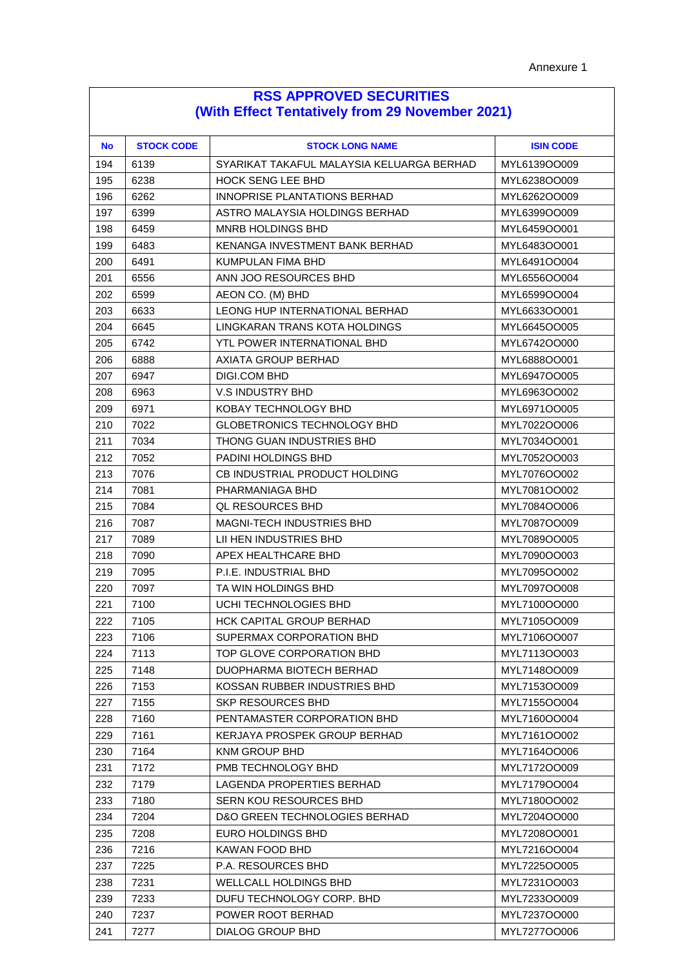| <b>RSS APPROVED SECURITIES</b> |                                                 |  |
|--------------------------------|-------------------------------------------------|--|
|                                | (With Effect Tentatively from 29 November 2021) |  |

| <b>No</b> | <b>STOCK CODE</b> | <b>STOCK LONG NAME</b>                    | <b>ISIN CODE</b> |
|-----------|-------------------|-------------------------------------------|------------------|
| 194       | 6139              | SYARIKAT TAKAFUL MALAYSIA KELUARGA BERHAD | MYL6139OO009     |
| 195       | 6238              | <b>HOCK SENG LEE BHD</b>                  | MYL6238OO009     |
| 196       | 6262              | INNOPRISE PLANTATIONS BERHAD              | MYL6262OO009     |
| 197       | 6399              | ASTRO MALAYSIA HOLDINGS BERHAD            | MYL6399OO009     |
| 198       | 6459              | <b>MNRB HOLDINGS BHD</b>                  | MYL6459OO001     |
| 199       | 6483              | KENANGA INVESTMENT BANK BERHAD            | MYL6483OO001     |
| 200       | 6491              | KUMPULAN FIMA BHD                         | MYL6491OO004     |
| 201       | 6556              | ANN JOO RESOURCES BHD                     | MYL6556OO004     |
| 202       | 6599              | AEON CO. (M) BHD                          | MYL6599OO004     |
| 203       | 6633              | <b>LEONG HUP INTERNATIONAL BERHAD</b>     | MYL6633OO001     |
| 204       | 6645              | LINGKARAN TRANS KOTA HOLDINGS             | MYL6645OO005     |
| 205       | 6742              | YTL POWER INTERNATIONAL BHD               | MYL6742OO000     |
| 206       | 6888              | AXIATA GROUP BERHAD                       | MYL6888OO001     |
| 207       | 6947              | DIGI.COM BHD                              | MYL6947OO005     |
| 208       | 6963              | V.S INDUSTRY BHD                          | MYL6963OO002     |
| 209       | 6971              | KOBAY TECHNOLOGY BHD                      | MYL6971OO005     |
| 210       | 7022              | <b>GLOBETRONICS TECHNOLOGY BHD</b>        | MYL7022OO006     |
| 211       | 7034              | THONG GUAN INDUSTRIES BHD                 | MYL7034OO001     |
| 212       | 7052              | <b>PADINI HOLDINGS BHD</b>                | MYL7052OO003     |
| 213       | 7076              | CB INDUSTRIAL PRODUCT HOLDING             | MYL7076OO002     |
| 214       | 7081              | PHARMANIAGA BHD                           | MYL7081OO002     |
| 215       | 7084              | <b>QL RESOURCES BHD</b>                   | MYL7084OO006     |
| 216       | 7087              | MAGNI-TECH INDUSTRIES BHD                 | MYL7087OO009     |
| 217       | 7089              | LII HEN INDUSTRIES BHD                    | MYL7089OO005     |
| 218       | 7090              | APEX HEALTHCARE BHD                       | MYL7090OO003     |
| 219       | 7095              | P.I.E. INDUSTRIAL BHD                     | MYL7095OO002     |
| 220       | 7097              | TA WIN HOLDINGS BHD                       | MYL7097OO008     |
| 221       | 7100              | UCHI TECHNOLOGIES BHD                     | MYL7100OO000     |
| 222       | 7105              | HCK CAPITAL GROUP BERHAD                  | MYL7105OO009     |
| 223       | 7106              | SUPERMAX CORPORATION BHD                  | MYL7106OO007     |
| 224       | 7113              | TOP GLOVE CORPORATION BHD                 | MYL7113OO003     |
| 225       | 7148              | DUOPHARMA BIOTECH BERHAD                  | MYL7148OO009     |
| 226       | 7153              | KOSSAN RUBBER INDUSTRIES BHD              | MYL7153OO009     |
| 227       | 7155              | SKP RESOURCES BHD                         | MYL7155OO004     |
| 228       | 7160              | PENTAMASTER CORPORATION BHD               | MYL7160OO004     |
| 229       | 7161              | KERJAYA PROSPEK GROUP BERHAD              | MYL7161OO002     |
| 230       | 7164              | KNM GROUP BHD                             | MYL7164OO006     |
| 231       | 7172              | PMB TECHNOLOGY BHD                        | MYL7172OO009     |
| 232       | 7179              | LAGENDA PROPERTIES BERHAD                 | MYL7179OO004     |
| 233       | 7180              | <b>SERN KOU RESOURCES BHD</b>             | MYL7180OO002     |
| 234       | 7204              | D&O GREEN TECHNOLOGIES BERHAD             | MYL7204OO000     |
| 235       | 7208              | EURO HOLDINGS BHD                         | MYL7208OO001     |
| 236       | 7216              | KAWAN FOOD BHD                            | MYL7216OO004     |
| 237       | 7225              | P.A. RESOURCES BHD                        | MYL7225OO005     |
| 238       | 7231              | <b>WELLCALL HOLDINGS BHD</b>              | MYL7231OO003     |
| 239       | 7233              | DUFU TECHNOLOGY CORP. BHD                 | MYL7233OO009     |
| 240       | 7237              | POWER ROOT BERHAD                         | MYL7237OO000     |
| 241       | 7277              | DIALOG GROUP BHD                          | MYL7277OO006     |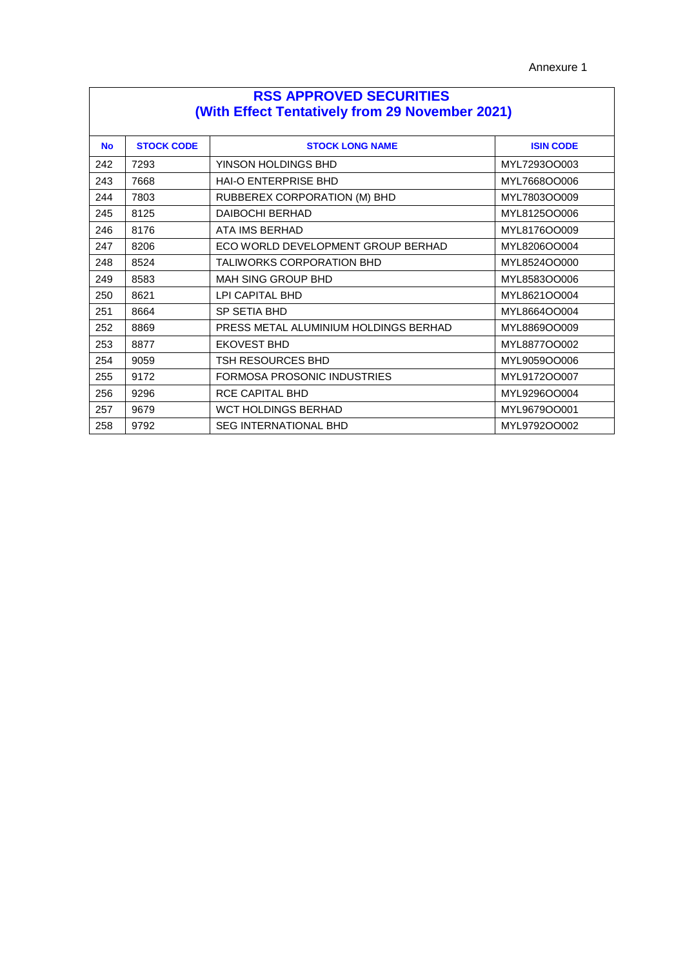| <b>RSS APPROVED SECURITIES</b><br>(With Effect Tentatively from 29 November 2021) |                   |                                       |                  |
|-----------------------------------------------------------------------------------|-------------------|---------------------------------------|------------------|
| <b>No</b>                                                                         | <b>STOCK CODE</b> | <b>STOCK LONG NAME</b>                | <b>ISIN CODE</b> |
| 242                                                                               | 7293              | YINSON HOLDINGS BHD                   | MYL7293OO003     |
| 243                                                                               | 7668              | <b>HAI-O ENTERPRISE BHD</b>           | MYL7668OO006     |
| 244                                                                               | 7803              | RUBBEREX CORPORATION (M) BHD          | MYL7803OO009     |
| 245                                                                               | 8125              | <b>DAIBOCHI BERHAD</b>                | MYL8125OO006     |
| 246                                                                               | 8176              | <b>ATA IMS BERHAD</b>                 | MYL8176OO009     |
| 247                                                                               | 8206              | ECO WORLD DEVELOPMENT GROUP BERHAD    | MYL8206OO004     |
| 248                                                                               | 8524              | <b>TALIWORKS CORPORATION BHD</b>      | MYL8524OO000     |
| 249                                                                               | 8583              | <b>MAH SING GROUP BHD</b>             | MYL8583OO006     |
| 250                                                                               | 8621              | LPI CAPITAL BHD                       | MYL8621OO004     |
| 251                                                                               | 8664              | SP SETIA BHD                          | MYL8664OO004     |
| 252                                                                               | 8869              | PRESS METAL ALUMINIUM HOLDINGS BERHAD | MYL8869OO009     |
| 253                                                                               | 8877              | <b>EKOVEST BHD</b>                    | MYL8877OO002     |
| 254                                                                               | 9059              | TSH RESOURCES BHD                     | MYL9059OO006     |
| 255                                                                               | 9172              | FORMOSA PROSONIC INDUSTRIES           | MYL9172OO007     |
| 256                                                                               | 9296              | <b>RCE CAPITAL BHD</b>                | MYL9296OO004     |
| 257                                                                               | 9679              | <b>WCT HOLDINGS BERHAD</b>            | MYL9679OO001     |
| 258                                                                               | 9792              | <b>SEG INTERNATIONAL BHD</b>          | MYL9792OO002     |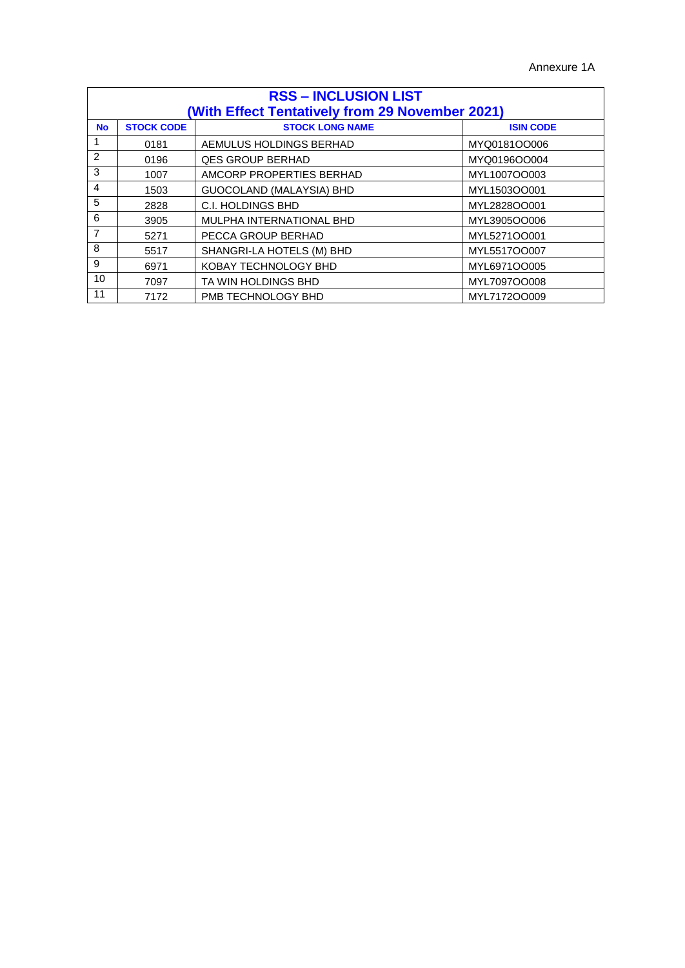| <b>RSS - INCLUSION LIST</b> |                   |                                                 |                  |
|-----------------------------|-------------------|-------------------------------------------------|------------------|
|                             |                   | (With Effect Tentatively from 29 November 2021) |                  |
| <b>No</b>                   | <b>STOCK CODE</b> | <b>STOCK LONG NAME</b>                          | <b>ISIN CODE</b> |
|                             | 0181              | AEMULUS HOLDINGS BERHAD                         | MYQ0181OO006     |
| $\mathcal{P}$               | 0196              | <b>QES GROUP BERHAD</b>                         | MYQ0196OO004     |
| 3                           | 1007              | AMCORP PROPERTIES BERHAD                        | MYL1007OO003     |
| $\overline{4}$              | 1503              | GUOCOLAND (MALAYSIA) BHD                        | MYL1503OO001     |
| 5                           | 2828              | C.I. HOLDINGS BHD                               | MYL2828OO001     |
| 6                           | 3905              | MULPHA INTERNATIONAL BHD                        | MYL3905OO006     |
| $\overline{7}$              | 5271              | PECCA GROUP BERHAD                              | MYL5271OO001     |
| 8                           | 5517              | SHANGRI-LA HOTELS (M) BHD                       | MYL5517OO007     |
| 9                           | 6971              | KOBAY TECHNOLOGY BHD                            | MYL6971OO005     |
| 10                          | 7097              | TA WIN HOLDINGS BHD                             | MYL7097OO008     |
| 11                          | 7172              | PMB TECHNOLOGY BHD                              | MYL7172OO009     |